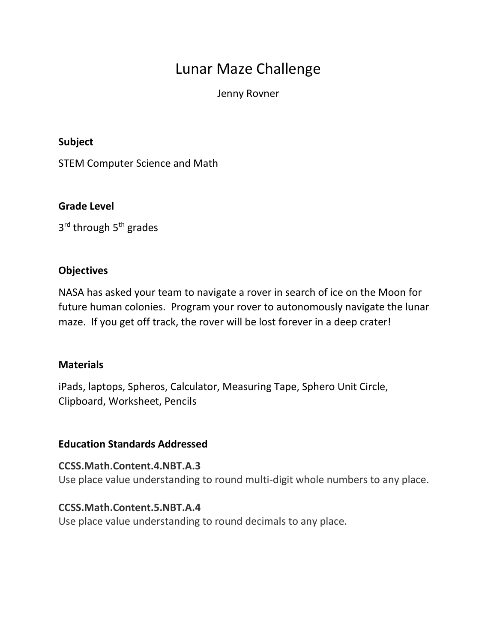# Lunar Maze Challenge

Jenny Rovner

#### **Subject**

STEM Computer Science and Math

## **Grade Level**

3<sup>rd</sup> through 5<sup>th</sup> grades

## **Objectives**

NASA has asked your team to navigate a rover in search of ice on the Moon for future human colonies. Program your rover to autonomously navigate the lunar maze. If you get off track, the rover will be lost forever in a deep crater!

#### **Materials**

iPads, laptops, Spheros, Calculator, Measuring Tape, Sphero Unit Circle, Clipboard, Worksheet, Pencils

#### **Education Standards Addressed**

**CCSS.Math.Content.4.NBT.A.3** Use place value understanding to round multi-digit whole numbers to any place.

#### **CCSS.Math.Content.5.NBT.A.4**

Use place value understanding to round decimals to any place.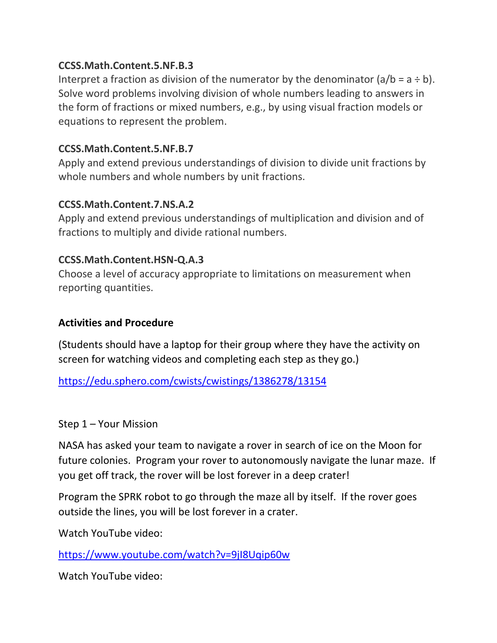## **CCSS.Math.Content.5.NF.B.3**

Interpret a fraction as division of the numerator by the denominator  $(a/b = a \div b)$ . Solve word problems involving division of whole numbers leading to answers in the form of fractions or mixed numbers, e.g., by using visual fraction models or equations to represent the problem.

## **CCSS.Math.Content.5.NF.B.7**

Apply and extend previous understandings of division to divide unit fractions by whole numbers and whole numbers by unit fractions.

## **CCSS.Math.Content.7.NS.A.2**

Apply and extend previous understandings of multiplication and division and of fractions to multiply and divide rational numbers.

## **CCSS.Math.Content.HSN-Q.A.3**

Choose a level of accuracy appropriate to limitations on measurement when reporting quantities.

#### **Activities and Procedure**

(Students should have a laptop for their group where they have the activity on screen for watching videos and completing each step as they go.)

<https://edu.sphero.com/cwists/cwistings/1386278/13154>

#### Step 1 – Your Mission

NASA has asked your team to navigate a rover in search of ice on the Moon for future colonies. Program your rover to autonomously navigate the lunar maze. If you get off track, the rover will be lost forever in a deep crater!

Program the SPRK robot to go through the maze all by itself. If the rover goes outside the lines, you will be lost forever in a crater.

Watch YouTube video:

<https://www.youtube.com/watch?v=9jI8Uqip60w>

Watch YouTube video: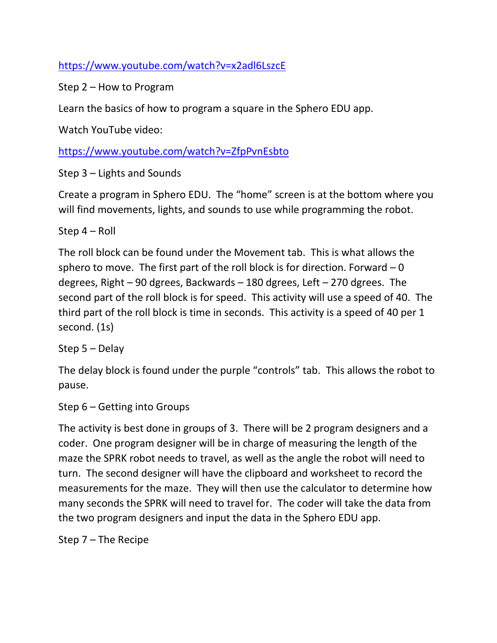<https://www.youtube.com/watch?v=x2adl6LszcE>

Step 2 – How to Program

Learn the basics of how to program a square in the Sphero EDU app.

Watch YouTube video:

<https://www.youtube.com/watch?v=ZfpPvnEsbto>

Step 3 – Lights and Sounds

Create a program in Sphero EDU. The "home" screen is at the bottom where you will find movements, lights, and sounds to use while programming the robot.

Step 4 – Roll

The roll block can be found under the Movement tab. This is what allows the sphero to move. The first part of the roll block is for direction. Forward  $-0$ degrees, Right – 90 dgrees, Backwards – 180 dgrees, Left – 270 dgrees. The second part of the roll block is for speed. This activity will use a speed of 40. The third part of the roll block is time in seconds. This activity is a speed of 40 per 1 second. (1s)

Step 5 – Delay

The delay block is found under the purple "controls" tab. This allows the robot to pause.

Step 6 – Getting into Groups

The activity is best done in groups of 3. There will be 2 program designers and a coder. One program designer will be in charge of measuring the length of the maze the SPRK robot needs to travel, as well as the angle the robot will need to turn. The second designer will have the clipboard and worksheet to record the measurements for the maze. They will then use the calculator to determine how many seconds the SPRK will need to travel for. The coder will take the data from the two program designers and input the data in the Sphero EDU app.

Step 7 – The Recipe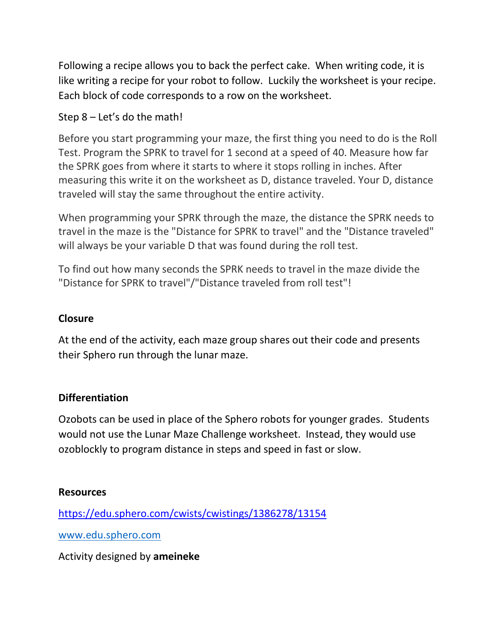Following a recipe allows you to back the perfect cake. When writing code, it is like writing a recipe for your robot to follow. Luckily the worksheet is your recipe. Each block of code corresponds to a row on the worksheet.

## Step 8 – Let's do the math!

Before you start programming your maze, the first thing you need to do is the Roll Test. Program the SPRK to travel for 1 second at a speed of 40. Measure how far the SPRK goes from where it starts to where it stops rolling in inches. After measuring this write it on the worksheet as D, distance traveled. Your D, distance traveled will stay the same throughout the entire activity.

When programming your SPRK through the maze, the distance the SPRK needs to travel in the maze is the "Distance for SPRK to travel" and the "Distance traveled" will always be your variable D that was found during the roll test.

To find out how many seconds the SPRK needs to travel in the maze divide the "Distance for SPRK to travel"/"Distance traveled from roll test"!

## **Closure**

At the end of the activity, each maze group shares out their code and presents their Sphero run through the lunar maze.

#### **Differentiation**

Ozobots can be used in place of the Sphero robots for younger grades. Students would not use the Lunar Maze Challenge worksheet. Instead, they would use ozoblockly to program distance in steps and speed in fast or slow.

#### **Resources**

<https://edu.sphero.com/cwists/cwistings/1386278/13154>

[www.edu.sphero.com](http://www.edu.sphero.com/)

Activity designed by **ameineke**